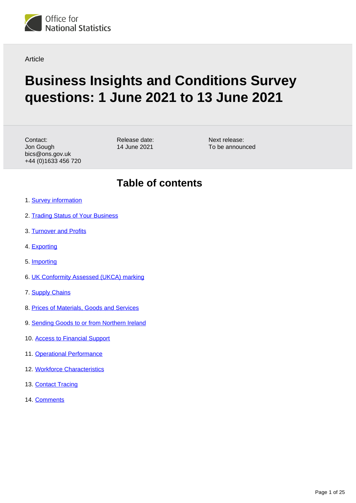

**Article** 

# **Business Insights and Conditions Survey questions: 1 June 2021 to 13 June 2021**

Contact: Jon Gough bics@ons.gov.uk +44 (0)1633 456 720 Release date: 14 June 2021

Next release: To be announced

### **Table of contents**

- 1. [Survey information](#page-1-0)
- 2. [Trading Status of Your Business](#page-1-1)
- 3. [Turnover and Profits](#page-2-0)
- 4. [Exporting](#page-3-0)
- 5. [Importing](#page-7-0)
- 6. [UK Conformity Assessed \(UKCA\) marking](#page-10-0)
- 7. [Supply Chains](#page-11-0)
- 8. [Prices of Materials, Goods and Services](#page-13-0)
- 9. [Sending Goods to or from Northern Ireland](#page-13-1)
- 10. [Access to Financial Support](#page-16-0)
- 11. [Operational Performance](#page-17-0)
- 12. [Workforce Characteristics](#page-22-0)
- 13. [Contact Tracing](#page-23-0)
- 14. [Comments](#page-24-0)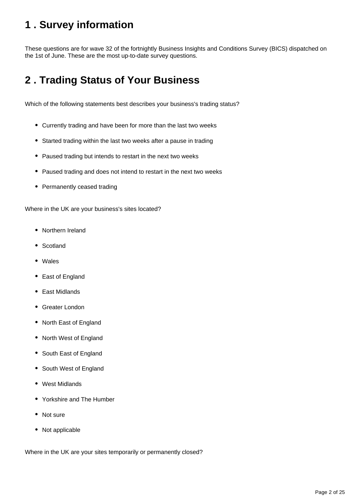# <span id="page-1-0"></span>**1 . Survey information**

These questions are for wave 32 of the fortnightly Business Insights and Conditions Survey (BICS) dispatched on the 1st of June. These are the most up-to-date survey questions.

# <span id="page-1-1"></span>**2 . Trading Status of Your Business**

Which of the following statements best describes your business's trading status?

- Currently trading and have been for more than the last two weeks
- Started trading within the last two weeks after a pause in trading
- Paused trading but intends to restart in the next two weeks
- Paused trading and does not intend to restart in the next two weeks
- Permanently ceased trading

Where in the UK are your business's sites located?

- Northern Ireland
- Scotland
- Wales
- East of England
- East Midlands
- Greater London
- North East of England
- North West of England
- South East of England
- South West of England
- West Midlands
- Yorkshire and The Humber
- Not sure
- Not applicable

Where in the UK are your sites temporarily or permanently closed?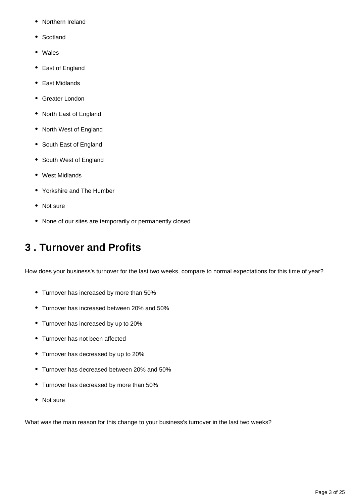- Northern Ireland
- Scotland
- Wales
- East of England
- East Midlands
- Greater London
- North East of England
- North West of England
- South East of England
- South West of England
- West Midlands
- Yorkshire and The Humber
- Not sure
- None of our sites are temporarily or permanently closed

## <span id="page-2-0"></span>**3 . Turnover and Profits**

How does your business's turnover for the last two weeks, compare to normal expectations for this time of year?

- Turnover has increased by more than 50%
- Turnover has increased between 20% and 50%
- Turnover has increased by up to 20%
- Turnover has not been affected
- Turnover has decreased by up to 20%
- Turnover has decreased between 20% and 50%
- Turnover has decreased by more than 50%
- Not sure

What was the main reason for this change to your business's turnover in the last two weeks?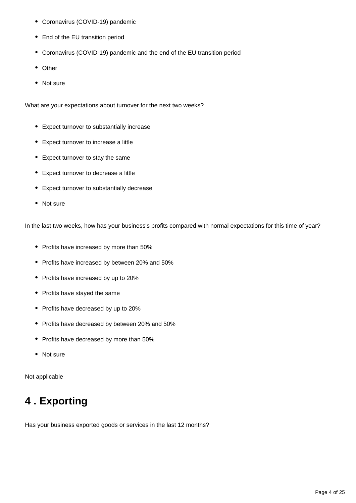- Coronavirus (COVID-19) pandemic
- End of the EU transition period
- Coronavirus (COVID-19) pandemic and the end of the EU transition period
- Other
- Not sure

What are your expectations about turnover for the next two weeks?

- Expect turnover to substantially increase
- Expect turnover to increase a little
- Expect turnover to stay the same
- Expect turnover to decrease a little
- Expect turnover to substantially decrease
- Not sure

In the last two weeks, how has your business's profits compared with normal expectations for this time of year?

- Profits have increased by more than 50%
- Profits have increased by between 20% and 50%
- Profits have increased by up to 20%
- Profits have stayed the same
- Profits have decreased by up to 20%
- Profits have decreased by between 20% and 50%
- Profits have decreased by more than 50%
- Not sure

Not applicable

# <span id="page-3-0"></span>**4 . Exporting**

Has your business exported goods or services in the last 12 months?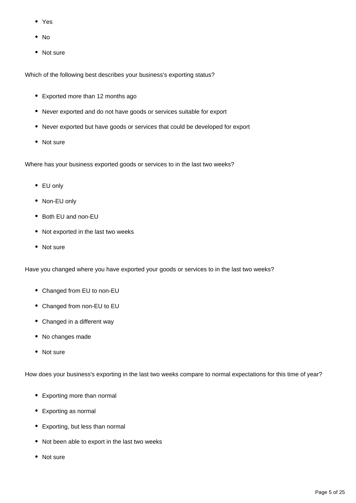- Yes
- $\bullet$  No
- Not sure

Which of the following best describes your business's exporting status?

- Exported more than 12 months ago
- Never exported and do not have goods or services suitable for export
- Never exported but have goods or services that could be developed for export
- Not sure

Where has your business exported goods or services to in the last two weeks?

- EU only
- Non-EU only
- Both EU and non-EU
- Not exported in the last two weeks
- Not sure

Have you changed where you have exported your goods or services to in the last two weeks?

- Changed from EU to non-EU
- Changed from non-EU to EU
- Changed in a different way
- No changes made
- Not sure

How does your business's exporting in the last two weeks compare to normal expectations for this time of year?

- Exporting more than normal
- Exporting as normal
- Exporting, but less than normal
- Not been able to export in the last two weeks
- Not sure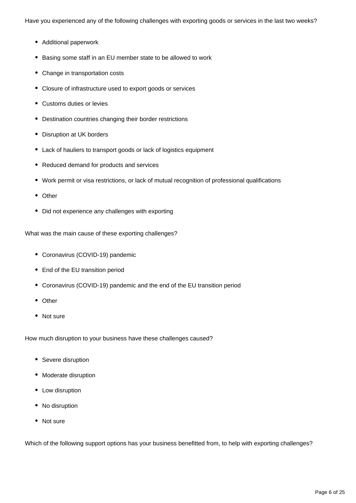Have you experienced any of the following challenges with exporting goods or services in the last two weeks?

- Additional paperwork
- Basing some staff in an EU member state to be allowed to work
- Change in transportation costs
- Closure of infrastructure used to export goods or services
- Customs duties or levies
- Destination countries changing their border restrictions
- Disruption at UK borders
- Lack of hauliers to transport goods or lack of logistics equipment
- Reduced demand for products and services
- Work permit or visa restrictions, or lack of mutual recognition of professional qualifications
- Other
- Did not experience any challenges with exporting

What was the main cause of these exporting challenges?

- Coronavirus (COVID-19) pandemic
- End of the EU transition period
- Coronavirus (COVID-19) pandemic and the end of the EU transition period
- Other
- Not sure

How much disruption to your business have these challenges caused?

- Severe disruption
- Moderate disruption
- Low disruption
- No disruption
- Not sure

Which of the following support options has your business benefitted from, to help with exporting challenges?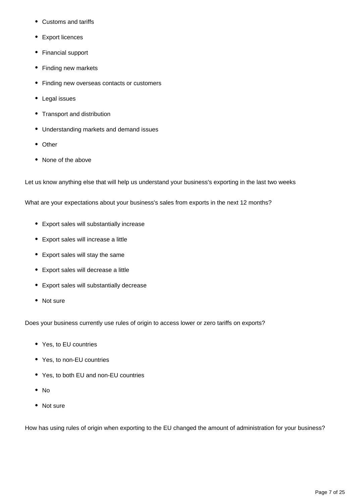- Customs and tariffs
- Export licences
- Financial support
- Finding new markets
- Finding new overseas contacts or customers
- Legal issues
- Transport and distribution
- Understanding markets and demand issues
- Other
- None of the above

Let us know anything else that will help us understand your business's exporting in the last two weeks

What are your expectations about your business's sales from exports in the next 12 months?

- Export sales will substantially increase
- Export sales will increase a little
- Export sales will stay the same
- Export sales will decrease a little
- Export sales will substantially decrease
- Not sure

Does your business currently use rules of origin to access lower or zero tariffs on exports?

- Yes, to EU countries
- Yes, to non-EU countries
- Yes, to both EU and non-EU countries
- No
- Not sure

How has using rules of origin when exporting to the EU changed the amount of administration for your business?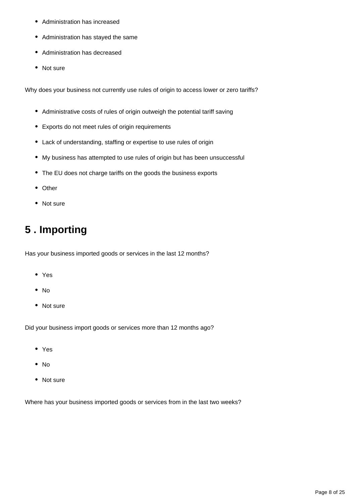- Administration has increased
- Administration has stayed the same
- Administration has decreased
- Not sure

Why does your business not currently use rules of origin to access lower or zero tariffs?

- Administrative costs of rules of origin outweigh the potential tariff saving
- Exports do not meet rules of origin requirements
- Lack of understanding, staffing or expertise to use rules of origin
- My business has attempted to use rules of origin but has been unsuccessful
- The EU does not charge tariffs on the goods the business exports
- Other
- Not sure

# <span id="page-7-0"></span>**5 . Importing**

Has your business imported goods or services in the last 12 months?

- Yes
- $\bullet$  No
- Not sure

Did your business import goods or services more than 12 months ago?

- Yes
- $\bullet$  No
- Not sure

Where has your business imported goods or services from in the last two weeks?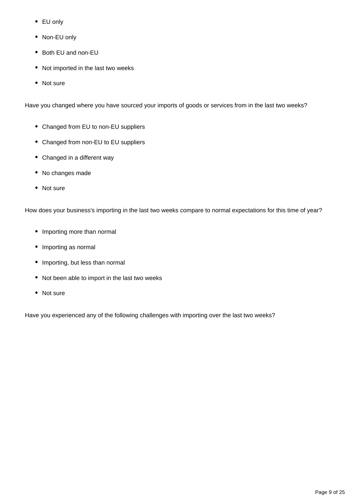- EU only
- Non-EU only
- Both EU and non-EU
- Not imported in the last two weeks
- Not sure

Have you changed where you have sourced your imports of goods or services from in the last two weeks?

- Changed from EU to non-EU suppliers
- Changed from non-EU to EU suppliers
- Changed in a different way
- No changes made
- Not sure

How does your business's importing in the last two weeks compare to normal expectations for this time of year?

- Importing more than normal
- Importing as normal
- Importing, but less than normal
- Not been able to import in the last two weeks
- Not sure

Have you experienced any of the following challenges with importing over the last two weeks?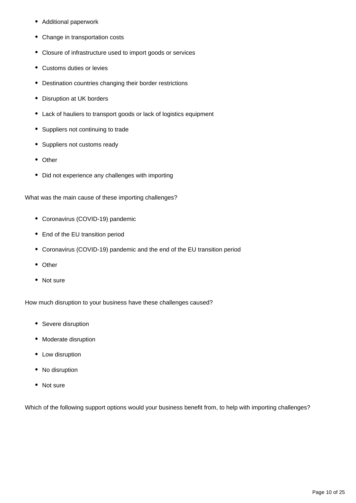- Additional paperwork
- Change in transportation costs
- Closure of infrastructure used to import goods or services
- Customs duties or levies
- Destination countries changing their border restrictions
- Disruption at UK borders
- Lack of hauliers to transport goods or lack of logistics equipment
- Suppliers not continuing to trade
- Suppliers not customs ready
- Other
- Did not experience any challenges with importing

What was the main cause of these importing challenges?

- Coronavirus (COVID-19) pandemic
- End of the EU transition period
- Coronavirus (COVID-19) pandemic and the end of the EU transition period
- Other
- Not sure

How much disruption to your business have these challenges caused?

- Severe disruption
- Moderate disruption
- Low disruption
- No disruption
- Not sure

Which of the following support options would your business benefit from, to help with importing challenges?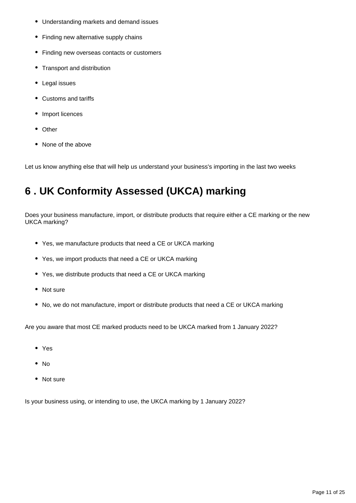- Understanding markets and demand issues
- Finding new alternative supply chains
- Finding new overseas contacts or customers
- Transport and distribution
- Legal issues
- Customs and tariffs
- Import licences
- Other
- None of the above

Let us know anything else that will help us understand your business's importing in the last two weeks

# <span id="page-10-0"></span>**6 . UK Conformity Assessed (UKCA) marking**

Does your business manufacture, import, or distribute products that require either a CE marking or the new UKCA marking?

- Yes, we manufacture products that need a CE or UKCA marking
- Yes, we import products that need a CE or UKCA marking
- Yes, we distribute products that need a CE or UKCA marking
- Not sure
- No, we do not manufacture, import or distribute products that need a CE or UKCA marking

Are you aware that most CE marked products need to be UKCA marked from 1 January 2022?

- Yes
- $\bullet$  No
- Not sure

Is your business using, or intending to use, the UKCA marking by 1 January 2022?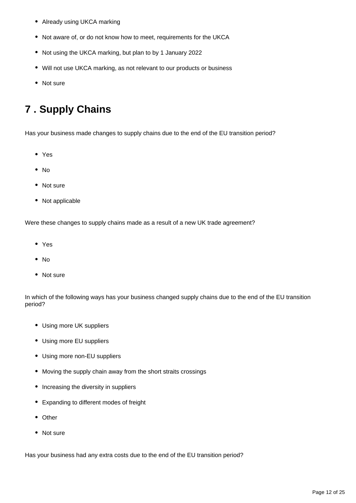- Already using UKCA marking
- Not aware of, or do not know how to meet, requirements for the UKCA
- Not using the UKCA marking, but plan to by 1 January 2022
- Will not use UKCA marking, as not relevant to our products or business
- Not sure

## <span id="page-11-0"></span>**7 . Supply Chains**

Has your business made changes to supply chains due to the end of the EU transition period?

- Yes
- $\bullet$  No
- Not sure
- Not applicable

Were these changes to supply chains made as a result of a new UK trade agreement?

- Yes
- No
- Not sure

In which of the following ways has your business changed supply chains due to the end of the EU transition period?

- Using more UK suppliers
- Using more EU suppliers
- Using more non-EU suppliers
- Moving the supply chain away from the short straits crossings
- Increasing the diversity in suppliers
- Expanding to different modes of freight
- Other
- Not sure

Has your business had any extra costs due to the end of the EU transition period?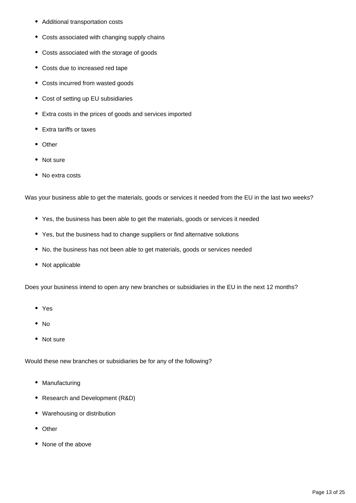- Additional transportation costs
- Costs associated with changing supply chains
- Costs associated with the storage of goods
- Costs due to increased red tape
- Costs incurred from wasted goods
- Cost of setting up EU subsidiaries
- Extra costs in the prices of goods and services imported
- Extra tariffs or taxes
- Other
- Not sure
- No extra costs

Was your business able to get the materials, goods or services it needed from the EU in the last two weeks?

- Yes, the business has been able to get the materials, goods or services it needed
- Yes, but the business had to change suppliers or find alternative solutions
- No, the business has not been able to get materials, goods or services needed
- Not applicable

Does your business intend to open any new branches or subsidiaries in the EU in the next 12 months?

- Yes
- $\bullet$  No
- Not sure

Would these new branches or subsidiaries be for any of the following?

- Manufacturing
- Research and Development (R&D)
- Warehousing or distribution
- Other
- None of the above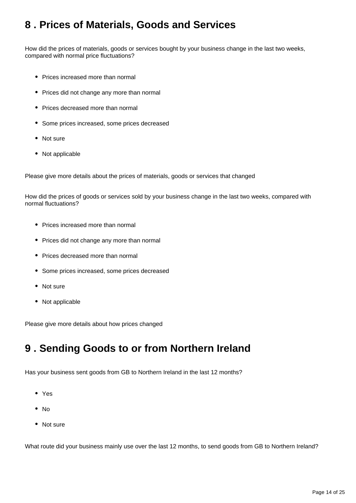### <span id="page-13-0"></span>**8 . Prices of Materials, Goods and Services**

How did the prices of materials, goods or services bought by your business change in the last two weeks, compared with normal price fluctuations?

- Prices increased more than normal
- Prices did not change any more than normal
- Prices decreased more than normal
- Some prices increased, some prices decreased
- Not sure
- Not applicable

Please give more details about the prices of materials, goods or services that changed

How did the prices of goods or services sold by your business change in the last two weeks, compared with normal fluctuations?

- Prices increased more than normal
- Prices did not change any more than normal
- Prices decreased more than normal
- Some prices increased, some prices decreased
- Not sure
- Not applicable

Please give more details about how prices changed

### <span id="page-13-1"></span>**9 . Sending Goods to or from Northern Ireland**

Has your business sent goods from GB to Northern Ireland in the last 12 months?

- Yes
- No
- Not sure

What route did your business mainly use over the last 12 months, to send goods from GB to Northern Ireland?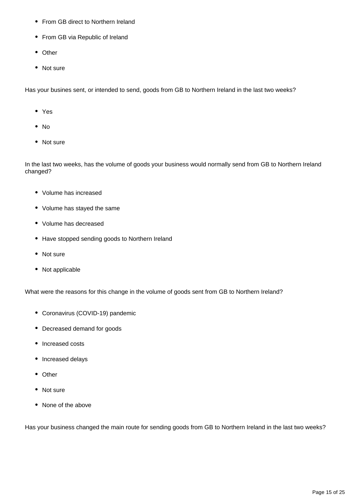- From GB direct to Northern Ireland
- From GB via Republic of Ireland
- Other
- Not sure

Has your busines sent, or intended to send, goods from GB to Northern Ireland in the last two weeks?

- Yes
- No
- Not sure

In the last two weeks, has the volume of goods your business would normally send from GB to Northern Ireland changed?

- Volume has increased
- Volume has stayed the same
- Volume has decreased
- Have stopped sending goods to Northern Ireland
- Not sure
- Not applicable

What were the reasons for this change in the volume of goods sent from GB to Northern Ireland?

- Coronavirus (COVID-19) pandemic
- Decreased demand for goods
- Increased costs
- Increased delays
- Other
- Not sure
- None of the above

Has your business changed the main route for sending goods from GB to Northern Ireland in the last two weeks?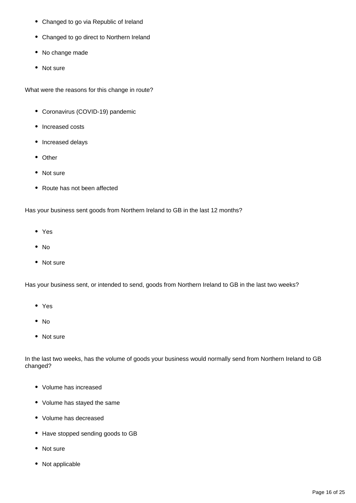- Changed to go via Republic of Ireland
- Changed to go direct to Northern Ireland
- No change made
- Not sure

What were the reasons for this change in route?

- Coronavirus (COVID-19) pandemic
- Increased costs
- Increased delays
- Other
- Not sure
- Route has not been affected

Has your business sent goods from Northern Ireland to GB in the last 12 months?

- Yes
- No
- Not sure

Has your business sent, or intended to send, goods from Northern Ireland to GB in the last two weeks?

- Yes
- No
- Not sure

In the last two weeks, has the volume of goods your business would normally send from Northern Ireland to GB changed?

- Volume has increased
- Volume has stayed the same
- Volume has decreased
- Have stopped sending goods to GB
- Not sure
- Not applicable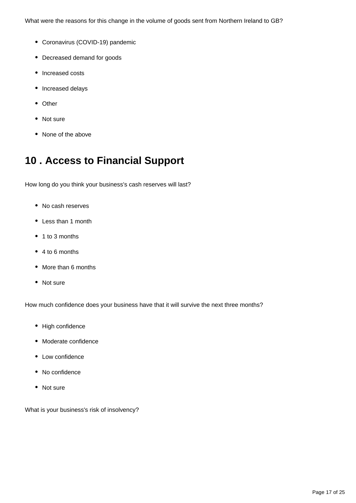What were the reasons for this change in the volume of goods sent from Northern Ireland to GB?

- Coronavirus (COVID-19) pandemic
- Decreased demand for goods
- Increased costs
- Increased delays
- Other
- Not sure
- None of the above

## <span id="page-16-0"></span>**10 . Access to Financial Support**

How long do you think your business's cash reserves will last?

- No cash reserves
- Less than 1 month
- 1 to 3 months
- 4 to 6 months
- More than 6 months
- Not sure

How much confidence does your business have that it will survive the next three months?

- High confidence
- Moderate confidence
- Low confidence
- No confidence
- Not sure

What is your business's risk of insolvency?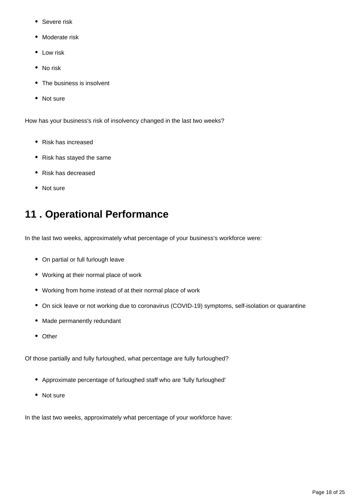- Severe risk
- Moderate risk
- Low risk
- No risk
- The business is insolvent
- Not sure

How has your business's risk of insolvency changed in the last two weeks?

- Risk has increased
- Risk has stayed the same
- Risk has decreased
- Not sure

### <span id="page-17-0"></span>**11 . Operational Performance**

In the last two weeks, approximately what percentage of your business's workforce were:

- On partial or full furlough leave
- Working at their normal place of work
- Working from home instead of at their normal place of work
- On sick leave or not working due to coronavirus (COVID-19) symptoms, self-isolation or quarantine
- Made permanently redundant
- Other

Of those partially and fully furloughed, what percentage are fully furloughed?

- Approximate percentage of furloughed staff who are 'fully furloughed'
- Not sure

In the last two weeks, approximately what percentage of your workforce have: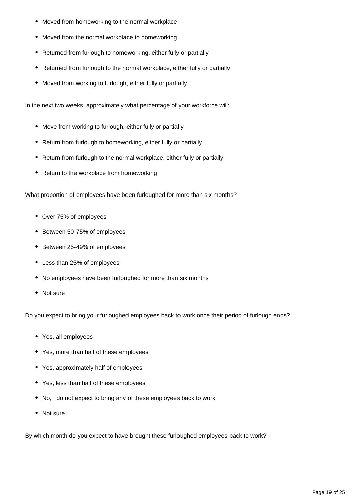- Moved from homeworking to the normal workplace
- Moved from the normal workplace to homeworking
- Returned from furlough to homeworking, either fully or partially
- Returned from furlough to the normal workplace, either fully or partially
- Moved from working to furlough, either fully or partially

In the next two weeks, approximately what percentage of your workforce will:

- Move from working to furlough, either fully or partially
- Return from furlough to homeworking, either fully or partially
- Return from furlough to the normal workplace, either fully or partially
- Return to the workplace from homeworking

What proportion of employees have been furloughed for more than six months?

- Over 75% of employees
- Between 50-75% of employees
- Between 25-49% of employees
- Less than 25% of employees
- No employees have been furloughed for more than six months
- Not sure

Do you expect to bring your furloughed employees back to work once their period of furlough ends?

- Yes, all employees
- Yes, more than half of these employees
- Yes, approximately half of employees
- Yes, less than half of these employees
- No, I do not expect to bring any of these employees back to work
- Not sure

By which month do you expect to have brought these furloughed employees back to work?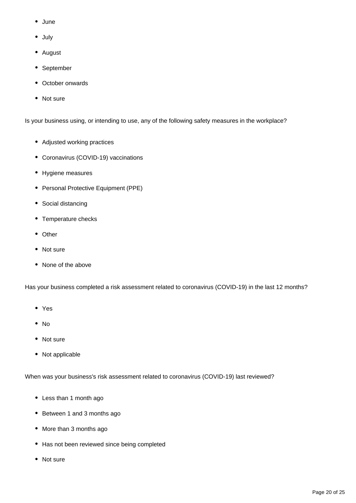- June
- July
- August
- September
- October onwards
- Not sure

Is your business using, or intending to use, any of the following safety measures in the workplace?

- Adjusted working practices
- Coronavirus (COVID-19) vaccinations
- Hygiene measures
- Personal Protective Equipment (PPE)
- Social distancing
- Temperature checks
- Other
- Not sure
- None of the above

Has your business completed a risk assessment related to coronavirus (COVID-19) in the last 12 months?

- Yes
- $\bullet$  No
- Not sure
- Not applicable

When was your business's risk assessment related to coronavirus (COVID-19) last reviewed?

- Less than 1 month ago
- Between 1 and 3 months ago
- More than 3 months ago
- Has not been reviewed since being completed
- Not sure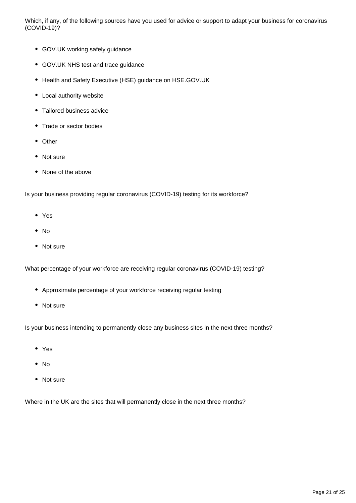Which, if any, of the following sources have you used for advice or support to adapt your business for coronavirus (COVID-19)?

- GOV.UK working safely guidance
- GOV.UK NHS test and trace guidance
- Health and Safety Executive (HSE) guidance on HSE.GOV.UK
- Local authority website
- Tailored business advice
- Trade or sector bodies
- Other
- Not sure
- None of the above

Is your business providing regular coronavirus (COVID-19) testing for its workforce?

- Yes
- No
- Not sure

What percentage of your workforce are receiving regular coronavirus (COVID-19) testing?

- Approximate percentage of your workforce receiving regular testing
- Not sure

Is your business intending to permanently close any business sites in the next three months?

- Yes
- $\bullet$  No
- Not sure

Where in the UK are the sites that will permanently close in the next three months?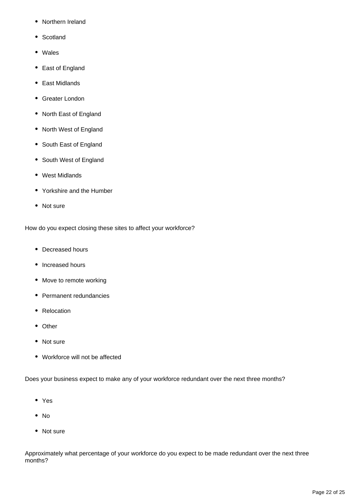- Northern Ireland
- Scotland
- Wales
- East of England
- East Midlands
- Greater London
- North East of England
- North West of England
- South East of England
- South West of England
- West Midlands
- Yorkshire and the Humber
- Not sure

How do you expect closing these sites to affect your workforce?

- Decreased hours
- Increased hours
- Move to remote working
- Permanent redundancies
- Relocation
- Other
- Not sure
- Workforce will not be affected

Does your business expect to make any of your workforce redundant over the next three months?

- Yes
- $\bullet$  No
- Not sure

Approximately what percentage of your workforce do you expect to be made redundant over the next three months?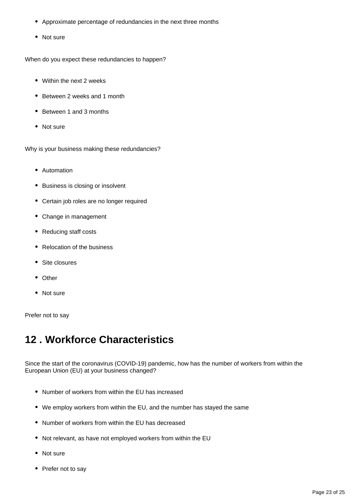- Approximate percentage of redundancies in the next three months
- Not sure

When do you expect these redundancies to happen?

- Within the next 2 weeks
- Between 2 weeks and 1 month
- Between 1 and 3 months
- Not sure

Why is your business making these redundancies?

- Automation
- Business is closing or insolvent
- Certain job roles are no longer required
- Change in management
- Reducing staff costs
- Relocation of the business
- Site closures
- Other
- Not sure

Prefer not to say

### <span id="page-22-0"></span>**12 . Workforce Characteristics**

Since the start of the coronavirus (COVID-19) pandemic, how has the number of workers from within the European Union (EU) at your business changed?

- Number of workers from within the EU has increased
- We employ workers from within the EU, and the number has stayed the same
- Number of workers from within the EU has decreased
- Not relevant, as have not employed workers from within the EU
- Not sure
- Prefer not to say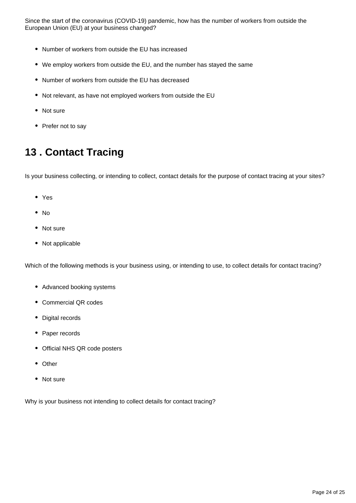Since the start of the coronavirus (COVID-19) pandemic, how has the number of workers from outside the European Union (EU) at your business changed?

- Number of workers from outside the EU has increased
- We employ workers from outside the EU, and the number has stayed the same
- Number of workers from outside the EU has decreased
- Not relevant, as have not employed workers from outside the EU
- Not sure
- Prefer not to say

## <span id="page-23-0"></span>**13 . Contact Tracing**

Is your business collecting, or intending to collect, contact details for the purpose of contact tracing at your sites?

- Yes
- No
- Not sure
- Not applicable

Which of the following methods is your business using, or intending to use, to collect details for contact tracing?

- Advanced booking systems
- Commercial QR codes
- Digital records
- Paper records
- Official NHS QR code posters
- Other
- Not sure

Why is your business not intending to collect details for contact tracing?